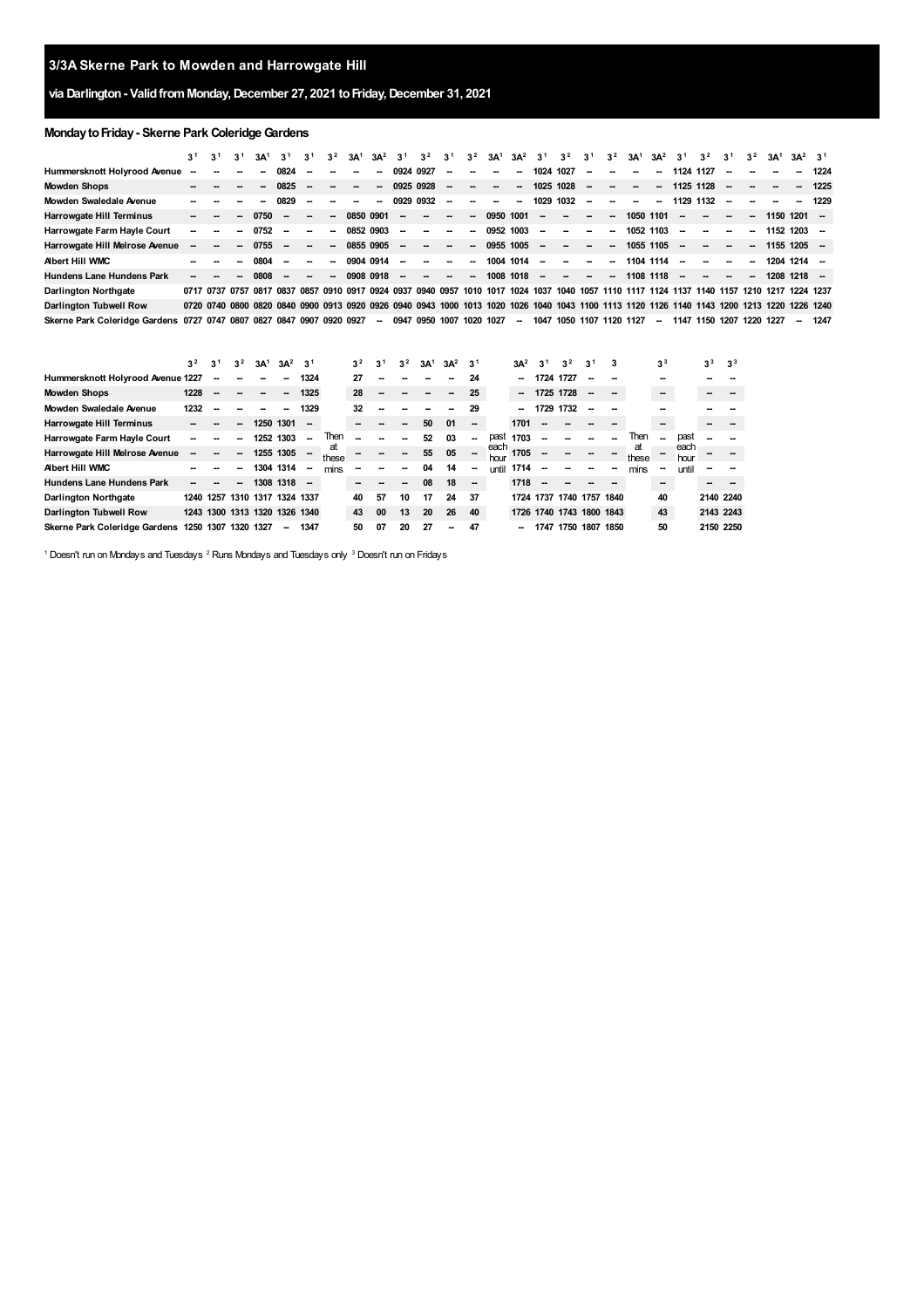## **via Darlington- ValidfromMonday,December 27, 2021 toFriday,December 31, 2021**

## **Monday to Friday - Skerne Park Coleridge Gardens**

|                                                                       | 3 <sup>1</sup> | 3 <sup>1</sup> | 3 <sup>1</sup> | 3A <sup>1</sup> | 3 <sup>1</sup> | 3 <sup>1</sup>           | 3 <sup>2</sup>           | 3A <sup>1</sup>          | $3A^2$                   | 3 <sup>1</sup> | 3 <sup>2</sup>           | 3 <sup>1</sup>           | 3 <sup>2</sup>           | 3A <sup>1</sup>          | $3A^2$ $3^1$ |                          | 3 <sup>2</sup>                                                                                                                              | 3 <sup>1</sup>           | 3 <sup>2</sup> | 3A <sup>1</sup>          | $3A^2$                   | 3 <sup>1</sup>           | 3 <sup>2</sup>           | 3 <sup>1</sup> | 3 <sup>2</sup> | 3A <sup>1</sup>          | $3A^2$ $3^1$  |      |
|-----------------------------------------------------------------------|----------------|----------------|----------------|-----------------|----------------|--------------------------|--------------------------|--------------------------|--------------------------|----------------|--------------------------|--------------------------|--------------------------|--------------------------|--------------|--------------------------|---------------------------------------------------------------------------------------------------------------------------------------------|--------------------------|----------------|--------------------------|--------------------------|--------------------------|--------------------------|----------------|----------------|--------------------------|---------------|------|
| Hummersknott Holyrood Avenue                                          | --             | -              |                | -               | 0824           |                          | $\overline{\phantom{a}}$ | $\overline{\phantom{a}}$ | $\overline{\phantom{a}}$ | 0924 0927      |                          | $\overline{\phantom{a}}$ | $\overline{\phantom{a}}$ | $\overline{\phantom{a}}$ | $\sim$       | 1024 1027                |                                                                                                                                             | $\overline{\phantom{a}}$ | --             | $\sim$                   | --                       | 1124 1127                |                          | $\sim$         |                |                          | $\sim$        | 1224 |
| <b>Mowden Shops</b>                                                   |                |                |                |                 | 0825           | --                       | $\overline{\phantom{a}}$ | -                        | $\overline{\phantom{a}}$ |                | 0925 0928                | $\overline{\phantom{a}}$ | $\overline{\phantom{a}}$ | $\sim$                   | $\sim$       |                          | 1025 1028                                                                                                                                   | $\sim$                   | $\sim$         | <b>Contract Contract</b> | --                       | 1125 1128                |                          | $\sim$         |                | $\overline{\phantom{a}}$ | $\sim$        | 1225 |
| Mowden Swaledale Avenue                                               |                |                |                |                 | 0829           |                          | $\sim$                   |                          | -                        | 0929 0932      |                          | -                        | $\overline{\phantom{a}}$ | $\overline{\phantom{a}}$ | $\sim$       | 1029                     | 1032                                                                                                                                        | $\overline{\phantom{a}}$ | ۰.             | $\sim$                   | --                       | 1129 1132                |                          | $\sim$         |                |                          | $\sim$        | 1229 |
| Harrowgate Hill Terminus                                              |                |                |                | 0750            |                | --                       | $\sim$                   |                          | 0850 0901                | -              | -                        | $\overline{\phantom{a}}$ | -                        | 0950 1001                |              | -                        | $\overline{\phantom{a}}$                                                                                                                    | $\overline{\phantom{a}}$ | --             | 1050 1101                |                          | --                       | −−                       | --             | $\sim$         |                          | $1150$ 1201 – |      |
| Harrowgate Farm Hayle Court                                           |                |                | --             | 0752            |                | $\overline{\phantom{a}}$ | --                       |                          | 0852 0903                | $\sim$         | -                        | $\overline{\phantom{a}}$ | $\overline{\phantom{a}}$ | 0952 1003                |              | -                        | -                                                                                                                                           | $\sim$                   | --             | 1052 1103                |                          | $\overline{\phantom{a}}$ | --                       | --             | $\sim$         |                          | $1152$ 1203 – |      |
| Harrowgate Hill Melrose Avenue                                        |                | $\sim$         | --             | 0755            |                | $\sim$                   | $\overline{\phantom{a}}$ |                          | 0855 0905                | $\sim$         | -                        | $\overline{\phantom{a}}$ | $\overline{\phantom{a}}$ | 0955 1005                |              | -                        | $\overline{\phantom{a}}$                                                                                                                    | $\overline{\phantom{a}}$ | --             | 1055 1105                |                          | $\overline{\phantom{a}}$ | --                       | --             | $\sim$         |                          | $1155$ 1205 – |      |
| <b>Abert Hill WMC</b>                                                 |                |                |                | 0804            |                |                          | $\sim$                   |                          | 0904 0914                | --             | $\overline{\phantom{a}}$ | $\sim$                   | $\sim$                   | 1004 1014                |              | -                        | $\sim$                                                                                                                                      | $\overline{\phantom{a}}$ | --             | 1104 1114                |                          |                          | $\overline{\phantom{a}}$ |                |                |                          | 1204 1214 -   |      |
| <b>Hundens Lane Hundens Park</b>                                      |                |                |                | 0808            |                | $\sim$                   | $\sim$                   |                          | 0908 0918                | -              | $\overline{\phantom{a}}$ | $\overline{\phantom{a}}$ | $\overline{\phantom{a}}$ | 1008 1018                |              | $\overline{\phantom{a}}$ | $\sim$ 100 $\mu$                                                                                                                            | $\sim$                   | --             | 1108 1118                |                          | $\overline{\phantom{a}}$ | $\overline{\phantom{a}}$ | $\sim$         | $\sim$         |                          | $1208$ 1218 – |      |
| <b>Darlington Northgate</b>                                           |                |                |                |                 |                |                          |                          |                          |                          |                |                          |                          |                          |                          |              |                          | 0717 0737 0757 0817 0837 0857 0910 0917 0924 0937 0940 0957 1010 1017 1024 1037 1040 1057 1110 1117 1124 1137 1140 1157 1210 1217 1224 1237 |                          |                |                          |                          |                          |                          |                |                |                          |               |      |
| Darlington Tubwell Row                                                |                |                |                |                 |                |                          |                          |                          |                          |                |                          |                          |                          |                          |              |                          | 0720 0740 0800 0820 0840 0900 0913 0920 0926 0940 0943 1000 1013 1020 1026 1040 1043 1100 1113 1120 1126 1140 1143 1200 1213 1220           |                          |                |                          |                          |                          |                          |                |                |                          | 1226 1240     |      |
| Skerne Park Coleridge Gardens 0727 0747 0807 0827 0847 0907 0920 0927 |                |                |                |                 |                |                          |                          |                          | $\sim$                   |                | 0947 0950 1007           |                          |                          | 1020 1027                | $\sim$       | 1047                     | 1050 1107 1120 1127                                                                                                                         |                          |                |                          | $\overline{\phantom{a}}$ | 1147 1150 1207 1220 1227 |                          |                |                |                          | $\sim$        | 1247 |

|                                   | 3 <sup>2</sup>      | 3 <sup>1</sup> | 3 <sup>2</sup>           | 3A <sup>1</sup>               | $3A^2$ $3^1$ |                          |             | 3 <sup>2</sup> | 3 <sup>1</sup> | 3 <sup>2</sup> | 3A <sup>1</sup> | $3A^2$ | 3 <sup>1</sup> |              | $3A^2$ | 3 <sup>1</sup> | 3 <sup>2</sup>           | 3 <sup>1</sup> |             | 3 <sup>3</sup> |              | 3 <sup>3</sup> | 3 <sup>3</sup> |
|-----------------------------------|---------------------|----------------|--------------------------|-------------------------------|--------------|--------------------------|-------------|----------------|----------------|----------------|-----------------|--------|----------------|--------------|--------|----------------|--------------------------|----------------|-------------|----------------|--------------|----------------|----------------|
| Hummersknott Holyrood Avenue 1227 |                     | --             |                          |                               |              | 1324                     |             | 27             |                |                |                 |        | 24             |              | -      | 1724 1727      |                          | --             |             |                |              |                |                |
| Mowden Shops                      | 1228                |                |                          |                               | --           | 1325                     |             | 28             |                |                |                 |        | 25             |              | $\sim$ | 1725 1728      |                          | --             |             | $\sim$         |              |                |                |
| Mowden Swaledale Avenue           | 1232                |                |                          |                               |              | 1329                     |             | 32             |                |                |                 |        | 29             |              | $\sim$ | 1729 1732      |                          | --             |             |                |              |                |                |
| Harrowgate Hill Terminus          |                     |                |                          | 1250 1301                     |              | $\overline{\phantom{a}}$ |             |                |                | --             | 50              | 01     | --             |              | 1701   |                |                          |                |             | --             |              |                |                |
| Harrowgate Farm Hayle Court       |                     |                |                          | 1252 1303                     |              | --                       | Then        |                |                |                | 52              | 03     | --             | past         | 1703   |                |                          |                | Then        | --             | past         |                |                |
| Harrowgate Hill Melrose Avenue    |                     |                |                          |                               | 1255 1305    | $\overline{\phantom{a}}$ | at<br>these |                |                |                | 55              | 05     |                | each<br>hour | 1705   |                |                          |                | at<br>these |                | each<br>hour |                |                |
| Albert Hill WMC                   |                     |                |                          |                               | 1304 1314    | --                       | mins        |                |                |                | 04              | 14     |                | until        | 1714   |                |                          |                | mins        |                | until        |                |                |
| <b>Hundens Lane Hundens Park</b>  |                     |                | $\overline{\phantom{a}}$ | 1308 1318                     |              | $\overline{\phantom{a}}$ |             |                |                | --             | 08              | 18     | --             |              | 1718   |                |                          |                |             | --             |              |                |                |
| Darlington Northgate              |                     | 1240 1257      |                          | 1310 1317 1324 1337           |              |                          |             | 40             | 57             | 10             | 17              | 24     | 37             |              |        |                | 1724 1737 1740 1757 1840 |                |             | 40             |              | 2140 2240      |                |
| Darlington Tubwell Row            |                     |                |                          | 1243 1300 1313 1320 1326 1340 |              |                          |             | 43             | 00             | 13             | 20              | 26     | 40             |              |        |                | 1726 1740 1743 1800 1843 |                |             | 43             |              | 2143 2243      |                |
| Skerne Park Coleridge Gardens     | 1250 1307 1320 1327 |                |                          |                               | --           | 1347                     |             | 50             | 07             | 20             | 27              | --     | 47             |              | -      |                | 1747 1750 1807 1850      |                |             | 50             |              | 2150 2250      |                |

<span id="page-0-2"></span><span id="page-0-1"></span><span id="page-0-0"></span> $^1$  Doesn't run on Mondays and Tuesdays  $^2$  Runs Mondays and Tuesdays only  $^3$  Doesn't run on Fridays